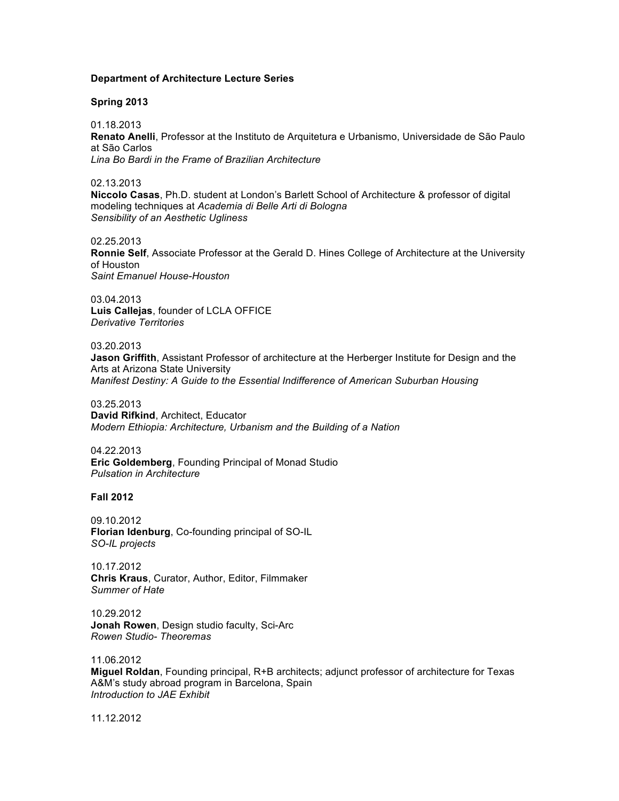### **Department of Architecture Lecture Series**

### **Spring 2013**

01.18.2013 **Renato Anelli**, Professor at the Instituto de Arquitetura e Urbanismo, Universidade de São Paulo at São Carlos *Lina Bo Bardi in the Frame of Brazilian Architecture*

02.13.2013

**Niccolo Casas**, Ph.D. student at London's Barlett School of Architecture & professor of digital modeling techniques at *Academia di Belle Arti di Bologna Sensibility of an Aesthetic Ugliness*

02.25.2013 **Ronnie Self**, Associate Professor at the Gerald D. Hines College of Architecture at the University of Houston *Saint Emanuel House-Houston*

03.04.2013 **Luis Callejas**, founder of LCLA OFFICE *Derivative Territories*

## 03.20.2013

**Jason Griffith**, Assistant Professor of architecture at the Herberger Institute for Design and the Arts at Arizona State University *Manifest Destiny: A Guide to the Essential Indifference of American Suburban Housing*

03.25.2013

**David Rifkind**, Architect, Educator *Modern Ethiopia: Architecture, Urbanism and the Building of a Nation*

04.22.2013 **Eric Goldemberg**, Founding Principal of Monad Studio *Pulsation in Architecture*

### **Fall 2012**

09.10.2012 **Florian Idenburg**, Co-founding principal of SO-IL *SO-IL projects*

10.17.2012 **Chris Kraus**, Curator, Author, Editor, Filmmaker *Summer of Hate*

10.29.2012 **Jonah Rowen**, Design studio faculty, Sci-Arc *Rowen Studio- Theoremas*

11.06.2012 **Miguel Roldan**, Founding principal, R+B architects; adjunct professor of architecture for Texas A&M's study abroad program in Barcelona, Spain *Introduction to JAE Exhibit*

11.12.2012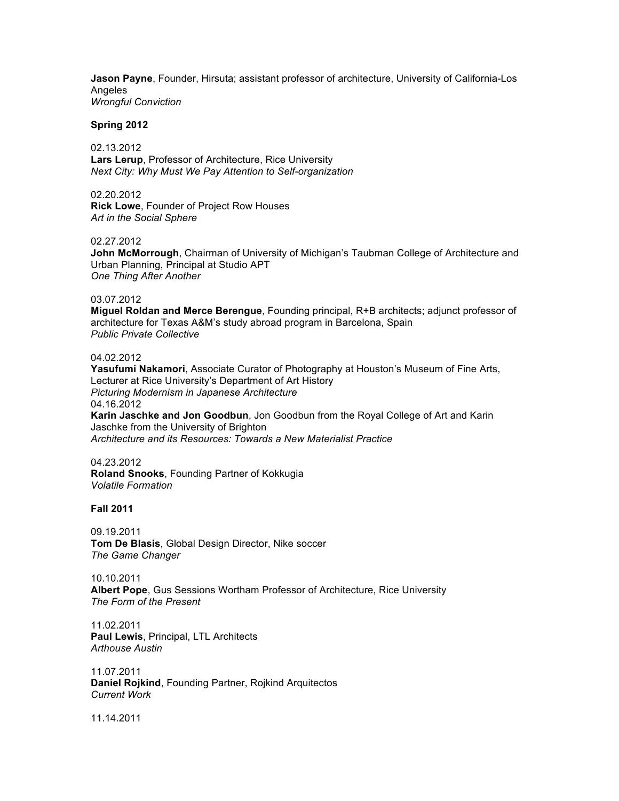**Jason Payne**, Founder, Hirsuta; assistant professor of architecture, University of California-Los Angeles *Wrongful Conviction*

#### **Spring 2012**

02.13.2012 **Lars Lerup**, Professor of Architecture, Rice University *Next City: Why Must We Pay Attention to Self-organization*

02.20.2012

**Rick Lowe**, Founder of Project Row Houses *Art in the Social Sphere*

#### 02.27.2012

**John McMorrough**, Chairman of University of Michigan's Taubman College of Architecture and Urban Planning, Principal at Studio APT *One Thing After Another*

#### 03.07.2012

**Miguel Roldan and Merce Berengue**, Founding principal, R+B architects; adjunct professor of architecture for Texas A&M's study abroad program in Barcelona, Spain *Public Private Collective*

## 04.02.2012

**Yasufumi Nakamori**, Associate Curator of Photography at Houston's Museum of Fine Arts, Lecturer at Rice University's Department of Art History *Picturing Modernism in Japanese Architecture* 04.16.2012 **Karin Jaschke and Jon Goodbun**, Jon Goodbun from the Royal College of Art and Karin Jaschke from the University of Brighton *Architecture and its Resources: Towards a New Materialist Practice*

04.23.2012

**Roland Snooks**, Founding Partner of Kokkugia *Volatile Formation*

# **Fall 2011**

09.19.2011 **Tom De Blasis**, Global Design Director, Nike soccer *The Game Changer*

10.10.2011 **Albert Pope**, Gus Sessions Wortham Professor of Architecture, Rice University *The Form of the Present*

11.02.2011 **Paul Lewis**, Principal, LTL Architects *Arthouse Austin*

11.07.2011 **Daniel Rojkind**, Founding Partner, Rojkind Arquitectos *Current Work*

11.14.2011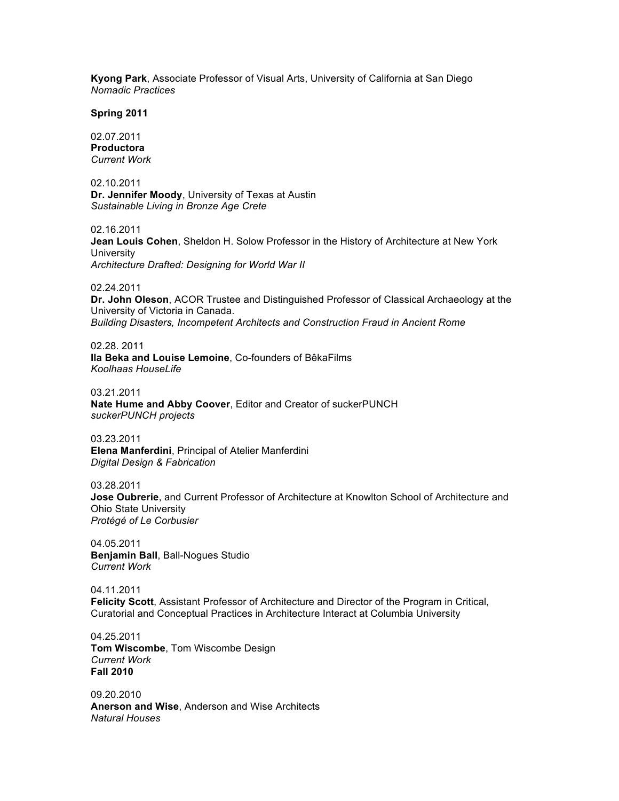**Kyong Park**, Associate Professor of Visual Arts, University of California at San Diego *Nomadic Practices*

**Spring 2011**

02.07.2011 **Productora** *Current Work*

02.10.2011 **Dr. Jennifer Moody**, University of Texas at Austin *Sustainable Living in Bronze Age Crete*

02.16.2011 **Jean Louis Cohen**, Sheldon H. Solow Professor in the History of Architecture at New York **University** *Architecture Drafted: Designing for World War II*

02.24.2011

**Dr. John Oleson**, ACOR Trustee and Distinguished Professor of Classical Archaeology at the University of Victoria in Canada. *Building Disasters, Incompetent Architects and Construction Fraud in Ancient Rome*

02.28. 2011 **Ila Beka and Louise Lemoine**, Co-founders of BêkaFilms *Koolhaas HouseLife*

03.21.2011 **Nate Hume and Abby Coover**, Editor and Creator of suckerPUNCH *suckerPUNCH projects*

03.23.2011 **Elena Manferdini**, Principal of Atelier Manferdini *Digital Design & Fabrication*

03.28.2011 **Jose Oubrerie**, and Current Professor of Architecture at Knowlton School of Architecture and Ohio State University *Protégé of Le Corbusier*

04.05.2011 **Benjamin Ball**, Ball-Nogues Studio *Current Work*

04.11.2011 **Felicity Scott**, Assistant Professor of Architecture and Director of the Program in Critical, Curatorial and Conceptual Practices in Architecture Interact at Columbia University

04.25.2011 **Tom Wiscombe**, Tom Wiscombe Design *Current Work* **Fall 2010**

09.20.2010 **Anerson and Wise**, Anderson and Wise Architects *Natural Houses*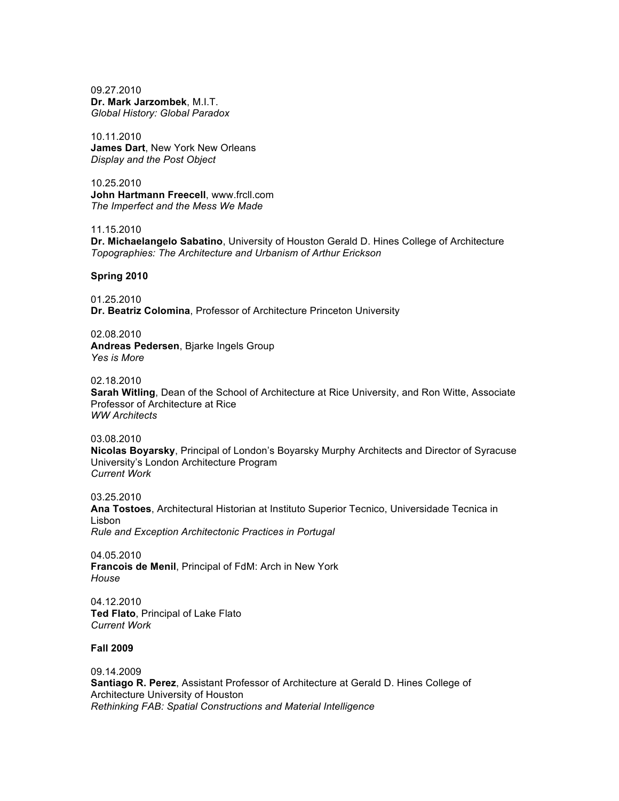09.27.2010 **Dr. Mark Jarzombek**, M.I.T. *Global History: Global Paradox*

10.11.2010 **James Dart**, New York New Orleans *Display and the Post Object*

10.25.2010 **John Hartmann Freecell**, www.frcll.com *The Imperfect and the Mess We Made*

11.15.2010

**Dr. Michaelangelo Sabatino**, University of Houston Gerald D. Hines College of Architecture *Topographies: The Architecture and Urbanism of Arthur Erickson*

**Spring 2010**

01.25.2010 **Dr. Beatriz Colomina**, Professor of Architecture Princeton University

02.08.2010 **Andreas Pedersen**, Bjarke Ingels Group *Yes is More*

02.18.2010

**Sarah Witling**, Dean of the School of Architecture at Rice University, and Ron Witte, Associate Professor of Architecture at Rice *WW Architects*

03.08.2010

**Nicolas Boyarsky**, Principal of London's Boyarsky Murphy Architects and Director of Syracuse University's London Architecture Program *Current Work*

03.25.2010 **Ana Tostoes**, Architectural Historian at Instituto Superior Tecnico, Universidade Tecnica in Lisbon *Rule and Exception Architectonic Practices in Portugal*

04.05.2010 **Francois de Menil**, Principal of FdM: Arch in New York *House*

04.12.2010 **Ted Flato**, Principal of Lake Flato *Current Work*

# **Fall 2009**

09.14.2009 **Santiago R. Perez**, Assistant Professor of Architecture at Gerald D. Hines College of Architecture University of Houston *Rethinking FAB: Spatial Constructions and Material Intelligence*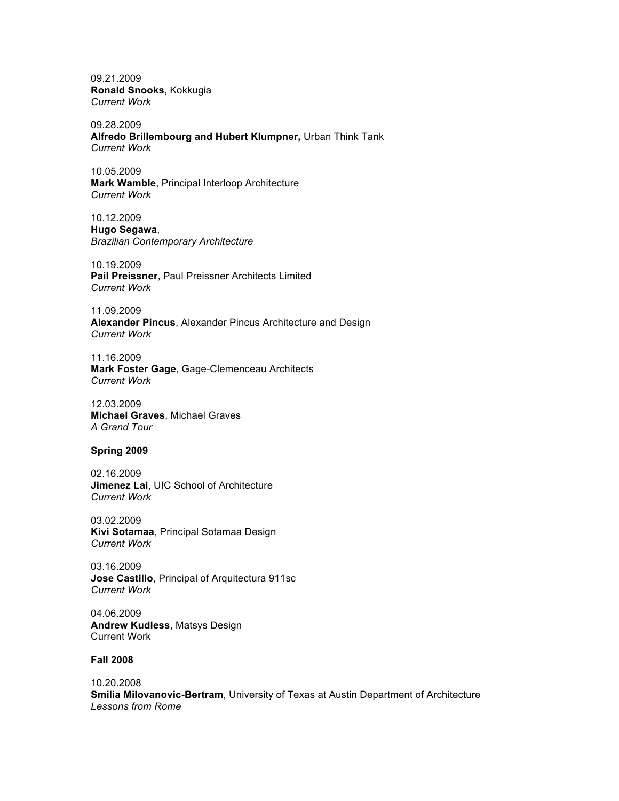09.21.2009 **Ronald Snooks**, Kokkugia *Current Work*

09.28.2009 **Alfredo Brillembourg and Hubert Klumpner,** Urban Think Tank *Current Work*

10.05.2009 **Mark Wamble**, Principal Interloop Architecture *Current Work*

10.12.2009 **Hugo Segawa**, *Brazilian Contemporary Architecture*

10.19.2009 **Pail Preissner**, Paul Preissner Architects Limited *Current Work*

11.09.2009 **Alexander Pincus**, Alexander Pincus Architecture and Design *Current Work*

11.16.2009 **Mark Foster Gage**, Gage-Clemenceau Architects *Current Work*

12.03.2009 **Michael Graves**, Michael Graves *A Grand Tour*

## **Spring 2009**

02.16.2009 **Jimenez Lai**, UIC School of Architecture *Current Work*

03.02.2009 **Kivi Sotamaa**, Principal Sotamaa Design *Current Work*

03.16.2009 **Jose Castillo**, Principal of Arquitectura 911sc *Current Work*

04.06.2009 **Andrew Kudless**, Matsys Design Current Work

### **Fall 2008**

10.20.2008 **Smilia Milovanovic-Bertram**, University of Texas at Austin Department of Architecture *Lessons from Rome*